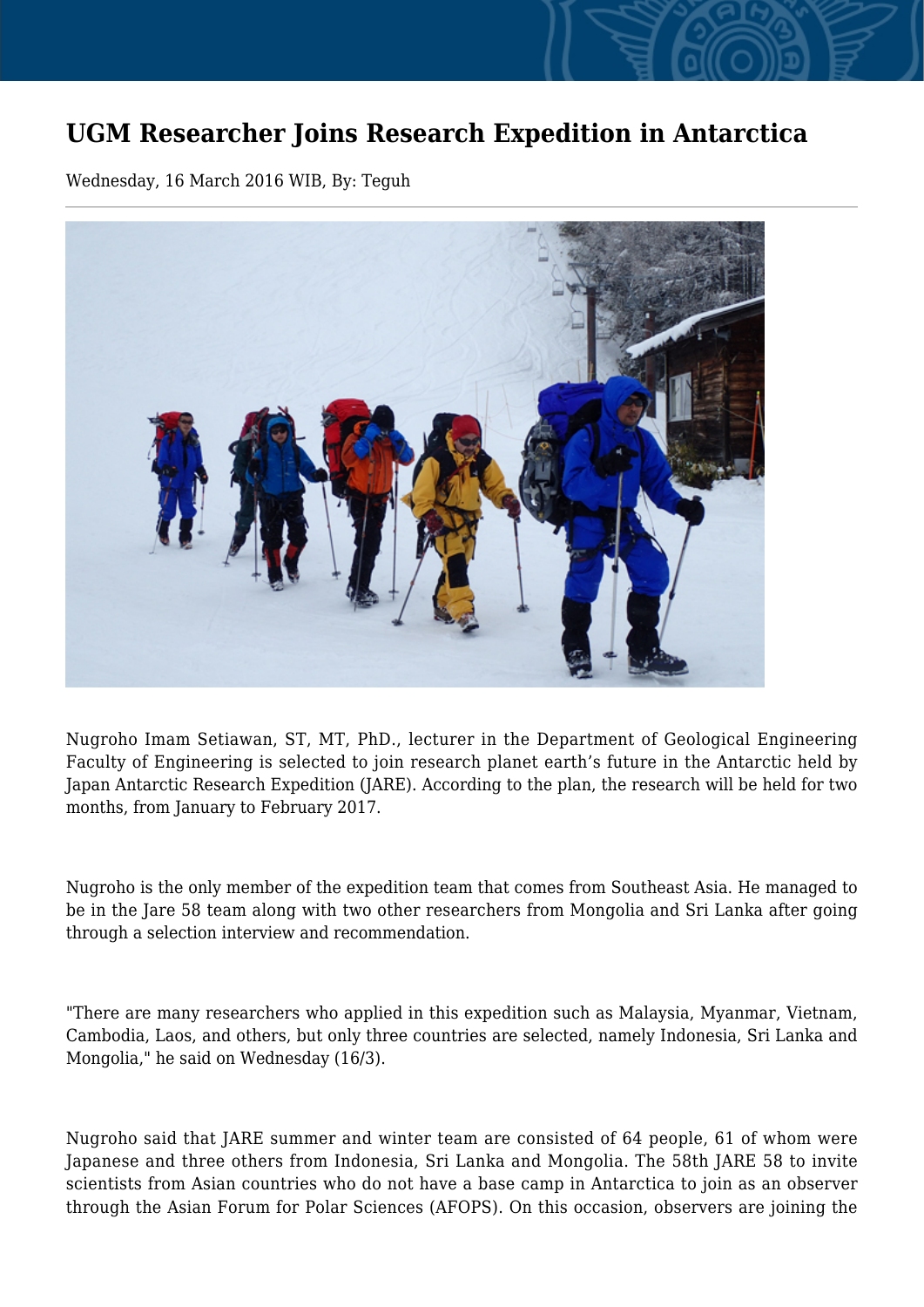## **UGM Researcher Joins Research Expedition in Antarctica**

Wednesday, 16 March 2016 WIB, By: Teguh



Nugroho Imam Setiawan, ST, MT, PhD., lecturer in the Department of Geological Engineering Faculty of Engineering is selected to join research planet earth's future in the Antarctic held by Japan Antarctic Research Expedition (JARE). According to the plan, the research will be held for two months, from January to February 2017.

Nugroho is the only member of the expedition team that comes from Southeast Asia. He managed to be in the Jare 58 team along with two other researchers from Mongolia and Sri Lanka after going through a selection interview and recommendation.

"There are many researchers who applied in this expedition such as Malaysia, Myanmar, Vietnam, Cambodia, Laos, and others, but only three countries are selected, namely Indonesia, Sri Lanka and Mongolia," he said on Wednesday (16/3).

Nugroho said that JARE summer and winter team are consisted of 64 people, 61 of whom were Japanese and three others from Indonesia, Sri Lanka and Mongolia. The 58th JARE 58 to invite scientists from Asian countries who do not have a base camp in Antarctica to join as an observer through the Asian Forum for Polar Sciences (AFOPS). On this occasion, observers are joining the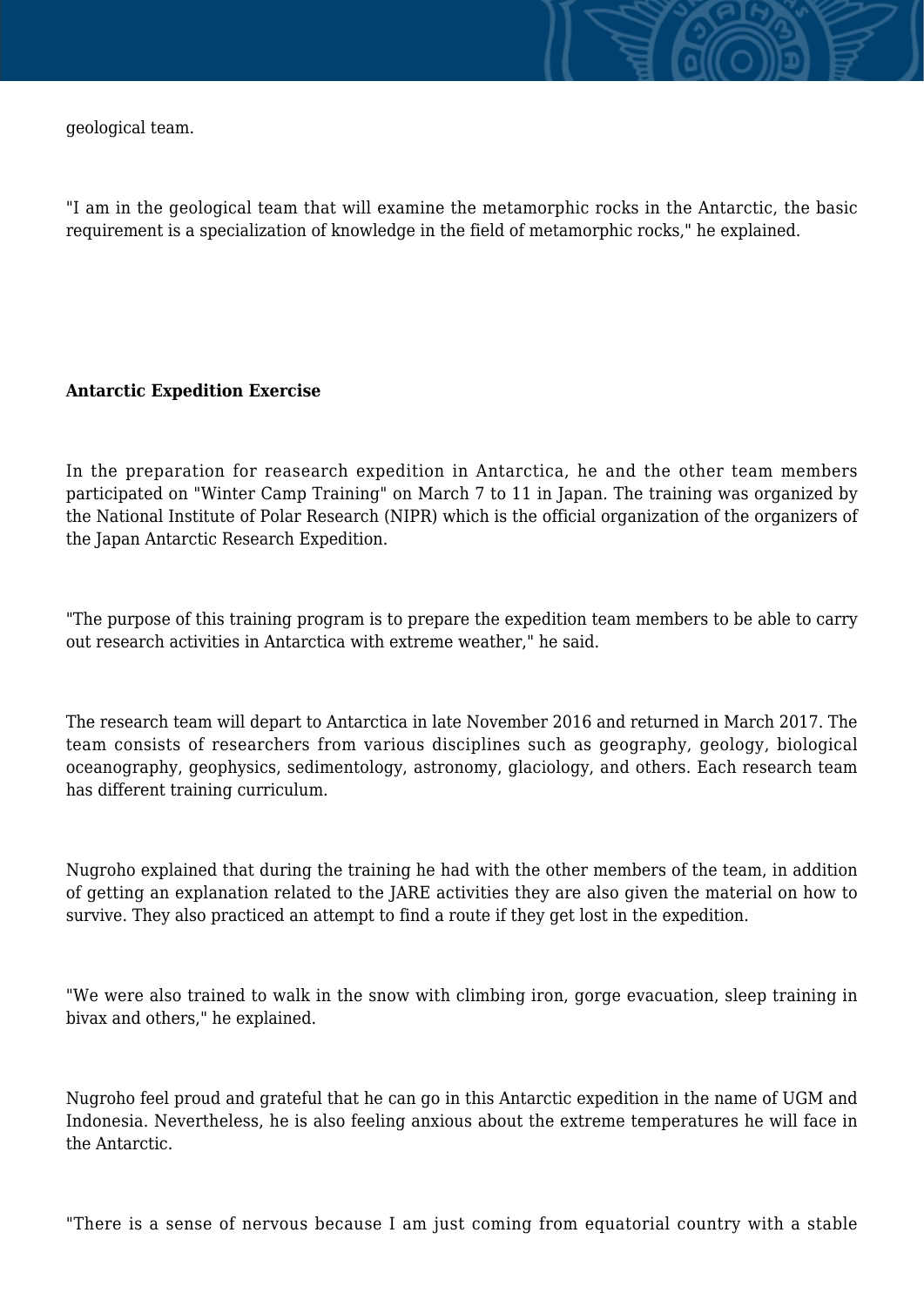geological team.



## **Antarctic Expedition Exercise**

In the preparation for reasearch expedition in Antarctica, he and the other team members participated on "Winter Camp Training" on March 7 to 11 in Japan. The training was organized by the National Institute of Polar Research (NIPR) which is the official organization of the organizers of the Japan Antarctic Research Expedition.

"The purpose of this training program is to prepare the expedition team members to be able to carry out research activities in Antarctica with extreme weather," he said.

The research team will depart to Antarctica in late November 2016 and returned in March 2017. The team consists of researchers from various disciplines such as geography, geology, biological oceanography, geophysics, sedimentology, astronomy, glaciology, and others. Each research team has different training curriculum.

Nugroho explained that during the training he had with the other members of the team, in addition of getting an explanation related to the JARE activities they are also given the material on how to survive. They also practiced an attempt to find a route if they get lost in the expedition.

"We were also trained to walk in the snow with climbing iron, gorge evacuation, sleep training in bivax and others," he explained.

Nugroho feel proud and grateful that he can go in this Antarctic expedition in the name of UGM and Indonesia. Nevertheless, he is also feeling anxious about the extreme temperatures he will face in the Antarctic.

"There is a sense of nervous because I am just coming from equatorial country with a stable